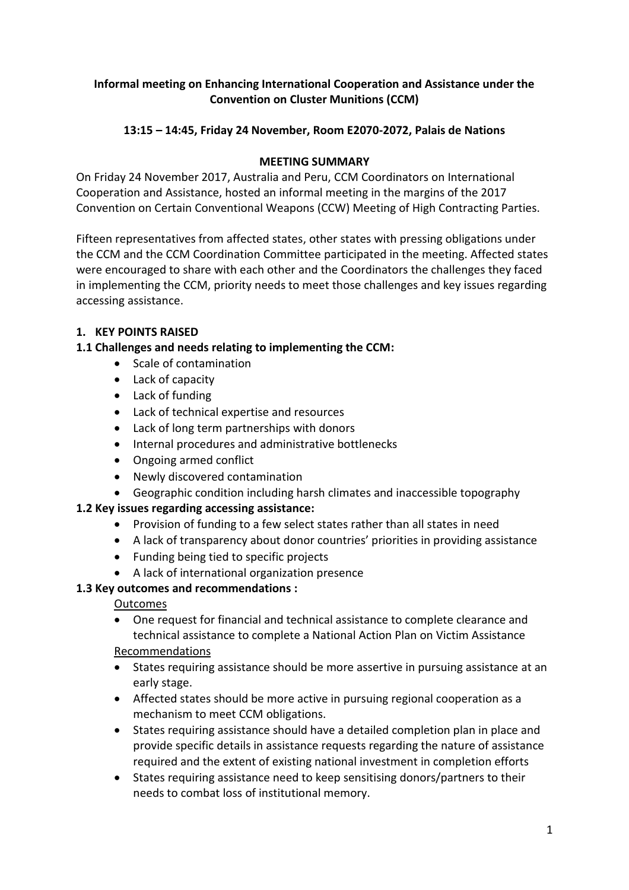### **Informal meeting on Enhancing International Cooperation and Assistance under the Convention on Cluster Munitions (CCM)**

## **13:15 – 14:45, Friday 24 November, Room E2070-2072, Palais de Nations**

### **MEETING SUMMARY**

On Friday 24 November 2017, Australia and Peru, CCM Coordinators on International Cooperation and Assistance, hosted an informal meeting in the margins of the 2017 Convention on Certain Conventional Weapons (CCW) Meeting of High Contracting Parties.

Fifteen representatives from affected states, other states with pressing obligations under the CCM and the CCM Coordination Committee participated in the meeting. Affected states were encouraged to share with each other and the Coordinators the challenges they faced in implementing the CCM, priority needs to meet those challenges and key issues regarding accessing assistance.

## **1. KEY POINTS RAISED**

### **1.1 Challenges and needs relating to implementing the CCM:**

- Scale of contamination
- Lack of capacity
- Lack of funding
- Lack of technical expertise and resources
- Lack of long term partnerships with donors
- Internal procedures and administrative bottlenecks
- Ongoing armed conflict
- Newly discovered contamination
- Geographic condition including harsh climates and inaccessible topography

## **1.2 Key issues regarding accessing assistance:**

- Provision of funding to a few select states rather than all states in need
- A lack of transparency about donor countries' priorities in providing assistance
- Funding being tied to specific projects
- A lack of international organization presence

## **1.3 Key outcomes and recommendations :**

#### **Outcomes**

 One request for financial and technical assistance to complete clearance and technical assistance to complete a National Action Plan on Victim Assistance

#### Recommendations

- States requiring assistance should be more assertive in pursuing assistance at an early stage.
- Affected states should be more active in pursuing regional cooperation as a mechanism to meet CCM obligations.
- States requiring assistance should have a detailed completion plan in place and provide specific details in assistance requests regarding the nature of assistance required and the extent of existing national investment in completion efforts
- States requiring assistance need to keep sensitising donors/partners to their needs to combat loss of institutional memory.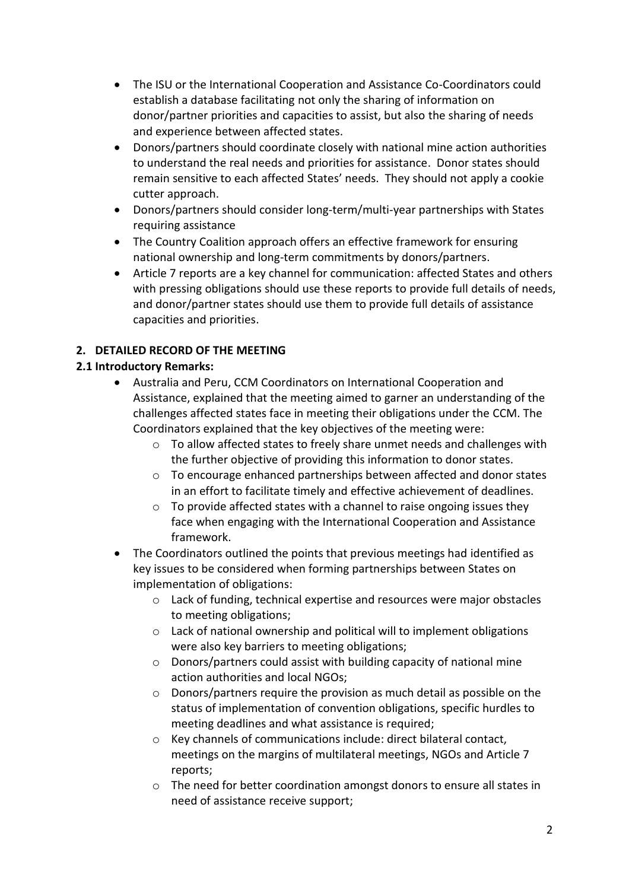- The ISU or the International Cooperation and Assistance Co-Coordinators could establish a database facilitating not only the sharing of information on donor/partner priorities and capacities to assist, but also the sharing of needs and experience between affected states.
- Donors/partners should coordinate closely with national mine action authorities to understand the real needs and priorities for assistance. Donor states should remain sensitive to each affected States' needs. They should not apply a cookie cutter approach.
- Donors/partners should consider long-term/multi-year partnerships with States requiring assistance
- The Country Coalition approach offers an effective framework for ensuring national ownership and long-term commitments by donors/partners.
- Article 7 reports are a key channel for communication: affected States and others with pressing obligations should use these reports to provide full details of needs, and donor/partner states should use them to provide full details of assistance capacities and priorities.

# **2. DETAILED RECORD OF THE MEETING**

## **2.1 Introductory Remarks:**

- Australia and Peru, CCM Coordinators on International Cooperation and Assistance, explained that the meeting aimed to garner an understanding of the challenges affected states face in meeting their obligations under the CCM. The Coordinators explained that the key objectives of the meeting were:
	- o To allow affected states to freely share unmet needs and challenges with the further objective of providing this information to donor states.
	- $\circ$  To encourage enhanced partnerships between affected and donor states in an effort to facilitate timely and effective achievement of deadlines.
	- o To provide affected states with a channel to raise ongoing issues they face when engaging with the International Cooperation and Assistance framework.
- The Coordinators outlined the points that previous meetings had identified as key issues to be considered when forming partnerships between States on implementation of obligations:
	- o Lack of funding, technical expertise and resources were major obstacles to meeting obligations;
	- o Lack of national ownership and political will to implement obligations were also key barriers to meeting obligations;
	- o Donors/partners could assist with building capacity of national mine action authorities and local NGOs;
	- o Donors/partners require the provision as much detail as possible on the status of implementation of convention obligations, specific hurdles to meeting deadlines and what assistance is required:
	- o Key channels of communications include: direct bilateral contact, meetings on the margins of multilateral meetings, NGOs and Article 7 reports;
	- o The need for better coordination amongst donors to ensure all states in need of assistance receive support;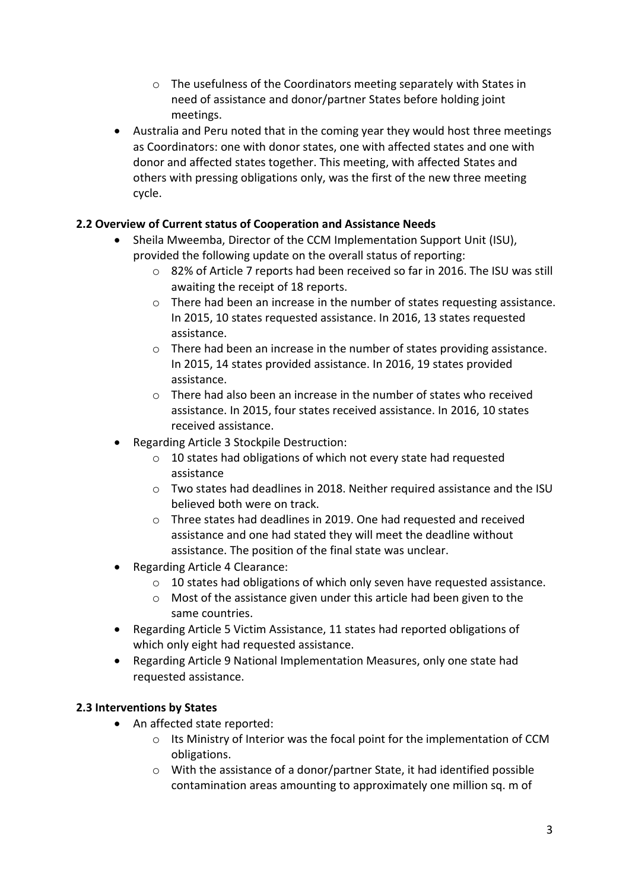- o The usefulness of the Coordinators meeting separately with States in need of assistance and donor/partner States before holding joint meetings.
- Australia and Peru noted that in the coming year they would host three meetings as Coordinators: one with donor states, one with affected states and one with donor and affected states together. This meeting, with affected States and others with pressing obligations only, was the first of the new three meeting cycle.

### **2.2 Overview of Current status of Cooperation and Assistance Needs**

- Sheila Mweemba, Director of the CCM Implementation Support Unit (ISU), provided the following update on the overall status of reporting:
	- o 82% of Article 7 reports had been received so far in 2016. The ISU was still awaiting the receipt of 18 reports.
	- o There had been an increase in the number of states requesting assistance. In 2015, 10 states requested assistance. In 2016, 13 states requested assistance.
	- $\circ$  There had been an increase in the number of states providing assistance. In 2015, 14 states provided assistance. In 2016, 19 states provided assistance.
	- o There had also been an increase in the number of states who received assistance. In 2015, four states received assistance. In 2016, 10 states received assistance.
- Regarding Article 3 Stockpile Destruction:
	- o 10 states had obligations of which not every state had requested assistance
	- $\circ$  Two states had deadlines in 2018. Neither required assistance and the ISU believed both were on track.
	- o Three states had deadlines in 2019. One had requested and received assistance and one had stated they will meet the deadline without assistance. The position of the final state was unclear.
- Regarding Article 4 Clearance:
	- o 10 states had obligations of which only seven have requested assistance.
	- o Most of the assistance given under this article had been given to the same countries.
- Regarding Article 5 Victim Assistance, 11 states had reported obligations of which only eight had requested assistance.
- Regarding Article 9 National Implementation Measures, only one state had requested assistance.

#### **2.3 Interventions by States**

- An affected state reported:
	- o Its Ministry of Interior was the focal point for the implementation of CCM obligations.
	- o With the assistance of a donor/partner State, it had identified possible contamination areas amounting to approximately one million sq. m of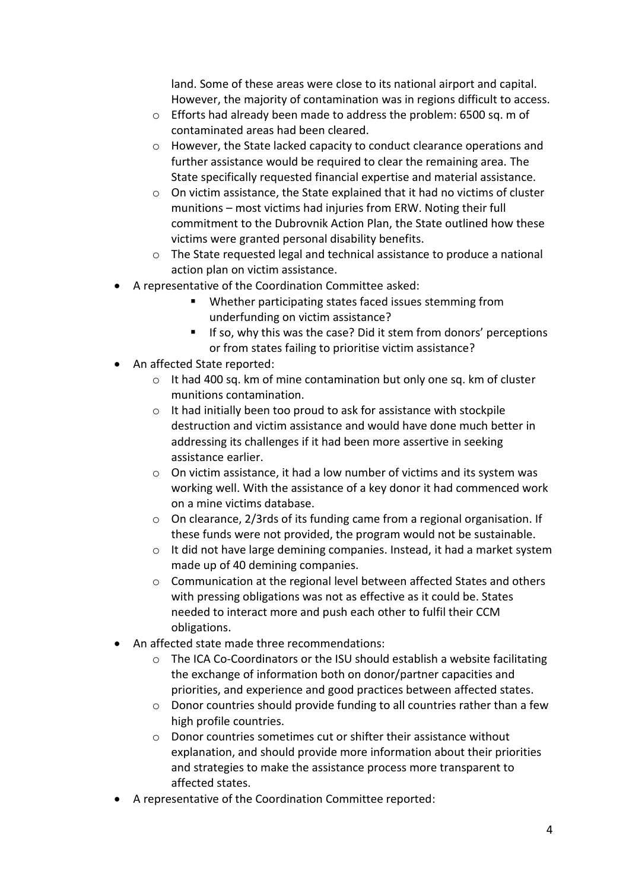land. Some of these areas were close to its national airport and capital. However, the majority of contamination was in regions difficult to access.

- o Efforts had already been made to address the problem: 6500 sq. m of contaminated areas had been cleared.
- o However, the State lacked capacity to conduct clearance operations and further assistance would be required to clear the remaining area. The State specifically requested financial expertise and material assistance.
- o On victim assistance, the State explained that it had no victims of cluster munitions – most victims had injuries from ERW. Noting their full commitment to the Dubrovnik Action Plan, the State outlined how these victims were granted personal disability benefits.
- o The State requested legal and technical assistance to produce a national action plan on victim assistance.
- A representative of the Coordination Committee asked:
	- Whether participating states faced issues stemming from underfunding on victim assistance?
	- **If so, why this was the case? Did it stem from donors' perceptions** or from states failing to prioritise victim assistance?
- An affected State reported:
	- $\circ$  It had 400 sq. km of mine contamination but only one sq. km of cluster munitions contamination.
	- o It had initially been too proud to ask for assistance with stockpile destruction and victim assistance and would have done much better in addressing its challenges if it had been more assertive in seeking assistance earlier.
	- o On victim assistance, it had a low number of victims and its system was working well. With the assistance of a key donor it had commenced work on a mine victims database.
	- o On clearance, 2/3rds of its funding came from a regional organisation. If these funds were not provided, the program would not be sustainable.
	- o It did not have large demining companies. Instead, it had a market system made up of 40 demining companies.
	- o Communication at the regional level between affected States and others with pressing obligations was not as effective as it could be. States needed to interact more and push each other to fulfil their CCM obligations.
- An affected state made three recommendations:
	- $\circ$  The ICA Co-Coordinators or the ISU should establish a website facilitating the exchange of information both on donor/partner capacities and priorities, and experience and good practices between affected states.
	- $\circ$  Donor countries should provide funding to all countries rather than a few high profile countries.
	- o Donor countries sometimes cut or shifter their assistance without explanation, and should provide more information about their priorities and strategies to make the assistance process more transparent to affected states.
- A representative of the Coordination Committee reported: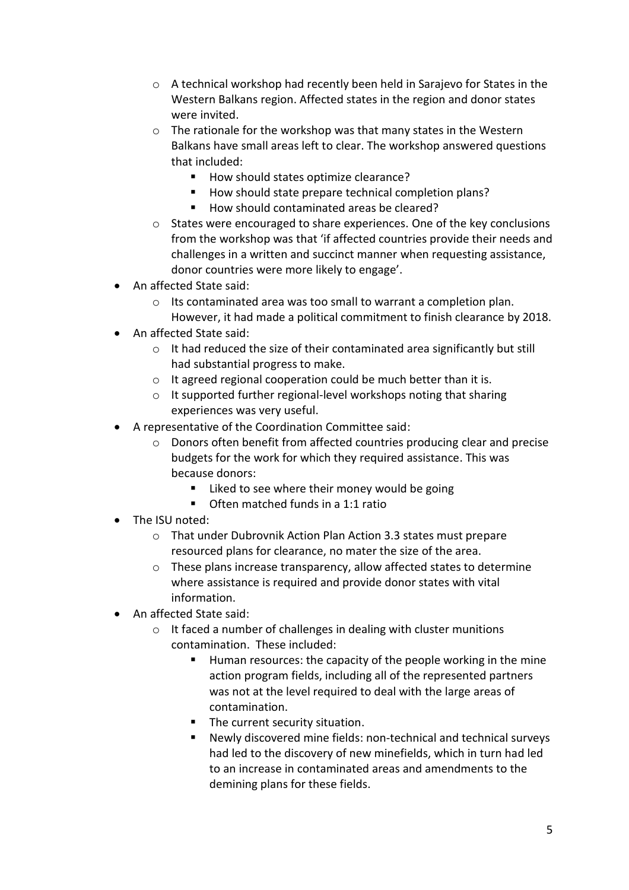- o A technical workshop had recently been held in Sarajevo for States in the Western Balkans region. Affected states in the region and donor states were invited.
- $\circ$  The rationale for the workshop was that many states in the Western Balkans have small areas left to clear. The workshop answered questions that included:
	- How should states optimize clearance?
	- How should state prepare technical completion plans?
	- How should contaminated areas be cleared?
- o States were encouraged to share experiences. One of the key conclusions from the workshop was that 'if affected countries provide their needs and challenges in a written and succinct manner when requesting assistance, donor countries were more likely to engage'.
- An affected State said:
	- o Its contaminated area was too small to warrant a completion plan. However, it had made a political commitment to finish clearance by 2018.
- An affected State said:
	- o It had reduced the size of their contaminated area significantly but still had substantial progress to make.
	- o It agreed regional cooperation could be much better than it is.
	- o It supported further regional-level workshops noting that sharing experiences was very useful.
- A representative of the Coordination Committee said:
	- o Donors often benefit from affected countries producing clear and precise budgets for the work for which they required assistance. This was because donors:
		- **Liked to see where their money would be going**
		- **Often matched funds in a 1:1 ratio**
- The ISU noted:
	- o That under Dubrovnik Action Plan Action 3.3 states must prepare resourced plans for clearance, no mater the size of the area.
	- o These plans increase transparency, allow affected states to determine where assistance is required and provide donor states with vital information.
- An affected State said:
	- o It faced a number of challenges in dealing with cluster munitions contamination. These included:
		- Human resources: the capacity of the people working in the mine action program fields, including all of the represented partners was not at the level required to deal with the large areas of contamination.
		- **The current security situation.**
		- Newly discovered mine fields: non-technical and technical surveys had led to the discovery of new minefields, which in turn had led to an increase in contaminated areas and amendments to the demining plans for these fields.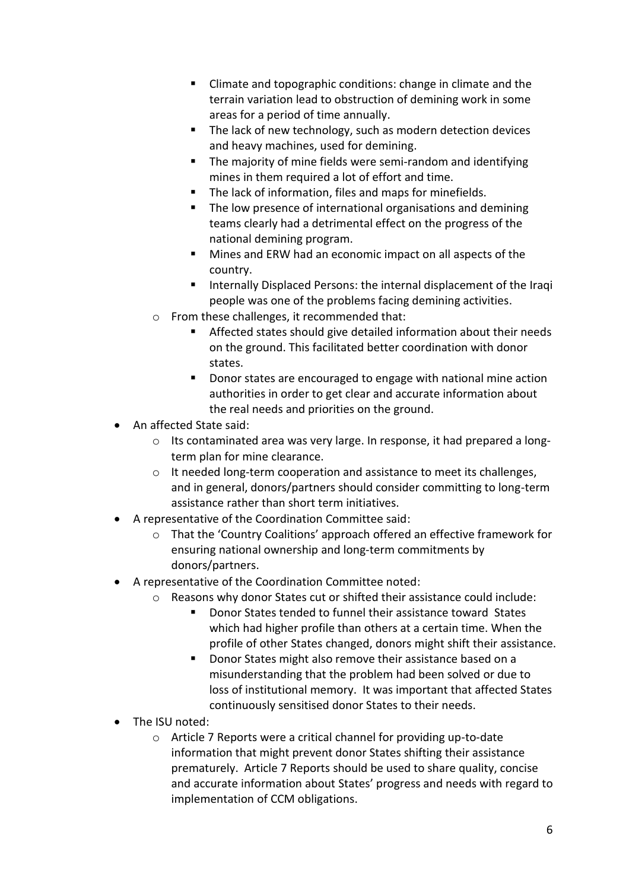- Climate and topographic conditions: change in climate and the terrain variation lead to obstruction of demining work in some areas for a period of time annually.
- The lack of new technology, such as modern detection devices and heavy machines, used for demining.
- **The majority of mine fields were semi-random and identifying** mines in them required a lot of effort and time.
- The lack of information, files and maps for minefields.
- The low presence of international organisations and demining teams clearly had a detrimental effect on the progress of the national demining program.
- Mines and ERW had an economic impact on all aspects of the country.
- **IF Internally Displaced Persons: the internal displacement of the Iraqi** people was one of the problems facing demining activities.
- o From these challenges, it recommended that:
	- Affected states should give detailed information about their needs on the ground. This facilitated better coordination with donor states.
	- Donor states are encouraged to engage with national mine action authorities in order to get clear and accurate information about the real needs and priorities on the ground.
- An affected State said:
	- $\circ$  Its contaminated area was very large. In response, it had prepared a longterm plan for mine clearance.
	- o It needed long-term cooperation and assistance to meet its challenges, and in general, donors/partners should consider committing to long-term assistance rather than short term initiatives.
- A representative of the Coordination Committee said:
	- o That the 'Country Coalitions' approach offered an effective framework for ensuring national ownership and long-term commitments by donors/partners.
- A representative of the Coordination Committee noted:
	- o Reasons why donor States cut or shifted their assistance could include:
		- Donor States tended to funnel their assistance toward States which had higher profile than others at a certain time. When the profile of other States changed, donors might shift their assistance.
		- Donor States might also remove their assistance based on a misunderstanding that the problem had been solved or due to loss of institutional memory. It was important that affected States continuously sensitised donor States to their needs.
- The ISU noted:
	- o Article 7 Reports were a critical channel for providing up-to-date information that might prevent donor States shifting their assistance prematurely. Article 7 Reports should be used to share quality, concise and accurate information about States' progress and needs with regard to implementation of CCM obligations.